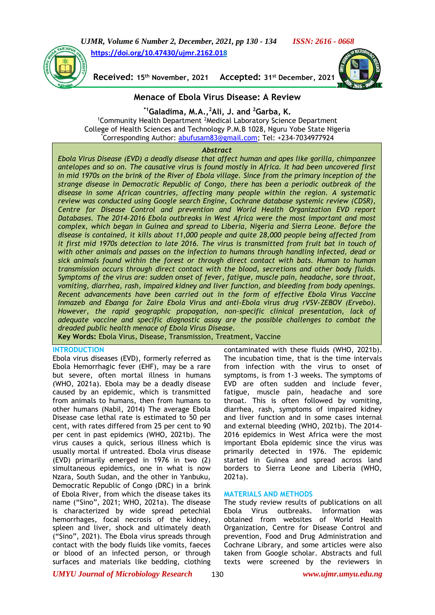*UJMR, Volume 6 Number 2, December, 2021, pp 130 - 134 ISSN: 2616 - 0668* **[https://doi.org/10.47430/ujmr.2162.018](https://doi.org/10.47430/ujmr.2162.01)**



 $Received: 15<sup>th</sup> November, 2021$ **st December, 2021**



# **Menace of Ebola Virus Disease: A Review**

**\*1Galadima, M.A.,<sup>2</sup>Ali, J. and <sup>2</sup>Garba, K.**

<sup>1</sup>Community Health Department <sup>2</sup>Medical Laboratory Science Department College of Health Sciences and Technology P.M.B 1028, Nguru Yobe State Nigeria Corresponding Author: [abufusam83@gmail.com;](mailto:abufusam83@gmail.com) Tel: +234-7034977924

#### *Abstract*

*Ebola Virus Disease (EVD) a deadly disease that affect human and apes like gorilla, chimpanzee antelopes and so on. The causative virus is found mostly in Africa. It had been uncovered first in mid 1970s on the brink of the River of Ebola village. Since from the primary inception of the strange disease in Democratic Republic of Congo, there has been a periodic outbreak of the disease in some African countries, affecting many people within the region. A systematic review was conducted using Google search Engine, Cochrane database systemic review (CDSR), Centre for Disease Control and prevention and World Health Organization EVD report Databases. The 2014-2016 Ebola outbreaks in West Africa were the most important and most complex, which began in Guinea and spread to Liberia, Nigeria and Sierra Leone. Before the disease is contained, it kills about 11,000 people and quite 28,000 people being affected from it first mid 1970s detection to late 2016. The virus is transmitted from fruit bat in touch of with other animals and passes on the infection to humans through handling infected, dead or sick animals found within the forest or through direct contact with bats. Human to human transmission occurs through direct contact with the blood, secretions and other body fluids. Symptoms of the virus are: sudden onset of fever, fatigue, muscle pain, headache, sore throat, vomiting, diarrhea, rash, impaired kidney and liver function, and bleeding from body openings. Recent advancements have been carried out in the form of effective Ebola Virus Vaccine Inmazeb and Ebanga for Zaire Ebola Virus and anti-Ebola virus drug rVSV-ZEBOV (Ervebo).*  However, the rapid geographic propagation, non-specific clinical presentation, lack of *adequate vaccine and specific diagnostic assay are the possible challenges to combat the dreaded public health menace of Ebola Virus Disease.*

**Key Words:** Ebola Virus, Disease, Transmission, Treatment, Vaccine

#### **INTRODUCTION**

Ebola virus diseases (EVD), formerly referred as Ebola Hemorrhagic fever (EHF), may be a rare but severe, often mortal illness in humans (WHO, 2021a). Ebola may be a deadly disease caused by an epidemic, which is transmitted from animals to humans, then from humans to other humans (Nabil, 2014) The average Ebola Disease case lethal rate is estimated to 50 per cent, with rates differed from 25 per cent to 90 per cent in past epidemics (WHO, 2021b). The virus causes a quick, serious illness which is usually mortal if untreated. Ebola virus disease (EVD) primarily emerged in 1976 in two (2) simultaneous epidemics, one in what is now Nzara, South Sudan, and the other in Yanbuku, Democratic Republic of Congo (DRC) in a brink of Ebola River, from which the disease takes its name ("Sino", 2021; WHO, 2021a). The disease is characterized by wide spread petechial hemorrhages, focal necrosis of the kidney, spleen and liver, shock and ultimately death ("Sino", 2021). The Ebola virus spreads through contact with the body fluids like vomits, faeces or blood of an infected person, or through surfaces and materials like bedding, clothing

contaminated with these fluids (WHO, 2021b). The incubation time, that is the time intervals from infection with the virus to onset of symptoms, is from 1-3 weeks. The symptoms of EVD are often sudden and include fever, fatigue, muscle pain, headache and sore throat. This is often followed by vomiting, diarrhea, rash, symptoms of impaired kidney and liver function and in some cases internal and external bleeding (WHO, 2021b). The 2014- 2016 epidemics in West Africa were the most important Ebola epidemic since the virus was primarily detected in 1976. The epidemic started in Guinea and spread across land borders to Sierra Leone and Liberia (WHO, 2021a).

## **MATERIALS AND METHODS**

The study review results of publications on all Ebola Virus outbreaks. Information was obtained from websites of World Health Organization, Centre for Disease Control and prevention, Food and Drug Administration and Cochrane Library, and some articles were also taken from Google scholar. Abstracts and full texts were screened by the reviewers in

*UMYU Journal of Microbiology Research www.ujmr.umyu.edu.ng*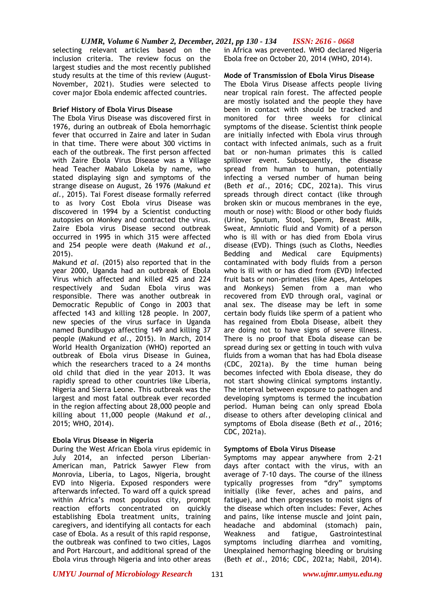selecting relevant articles based on the inclusion criteria. The review focus on the largest studies and the most recently published study results at the time of this review (August-November, 2021). Studies were selected to cover major Ebola endemic affected countries.

# **Brief History of Ebola Virus Disease**

The Ebola Virus Disease was discovered first in 1976, during an outbreak of Ebola hemorrhagic fever that occurred in Zaire and later in Sudan in that time. There were about 300 victims in each of the outbreak. The first person affected with Zaire Ebola Virus Disease was a Village head Teacher Mabalo Lokela by name, who stated displaying sign and symptoms of the strange disease on August, 26 1976 (Makund *et al.*, 2015). Tai Forest disease formally referred to as Ivory Cost Ebola virus Disease was discovered in 1994 by a Scientist conducting autopsies on Monkey and contracted the virus. Zaire Ebola virus Disease second outbreak occurred in 1995 in which 315 were affected and 254 people were death (Makund *et al.*, 2015).

Makund *et al.* (2015) also reported that in the year 2000, Uganda had an outbreak of Ebola Virus which affected and killed 425 and 224 respectively and Sudan Ebola virus was responsible. There was another outbreak in Democratic Republic of Congo in 2003 that affected 143 and killing 128 people. In 2007, new species of the virus surface in Uganda named Bundibugyo affecting 149 and killing 37 people (Makund *et al.*, 2015). In March, 2014 World Health Organization (WHO) reported an outbreak of Ebola virus Disease in Guinea, which the researchers traced to a 24 months old child that died in the year 2013. It was rapidly spread to other countries like Liberia, Nigeria and Sierra Leone. This outbreak was the largest and most fatal outbreak ever recorded in the region affecting about 28,000 people and killing about 11,000 people (Makund *et al.*, 2015; WHO, 2014).

# **Ebola Virus Disease in Nigeria**

During the West African Ebola virus epidemic in July 2014, an infected person Liberian-American man, Patrick Sawyer Flew from Monrovia, Liberia, to Lagos, Nigeria, brought EVD into Nigeria. Exposed responders were afterwards infected. To ward off a quick spread within Africa's most populous city, prompt reaction efforts concentrated on quickly establishing Ebola treatment units, training caregivers, and identifying all contacts for each case of Ebola. As a result of this rapid response, the outbreak was confined to two cities, Lagos and Port Harcourt, and additional spread of the Ebola virus through Nigeria and into other areas

in Africa was prevented. WHO declared Nigeria Ebola free on October 20, 2014 (WHO, 2014).

## **Mode of Transmission of Ebola Virus Disease**

The Ebola Virus Disease affects people living near tropical rain forest. The affected people are mostly isolated and the people they have been in contact with should be tracked and monitored for three weeks for clinical symptoms of the disease. Scientist think people are initially infected with Ebola virus through contact with infected animals, such as a fruit bat or non-human primates this is called spillover event. Subsequently, the disease spread from human to human, potentially infecting a versed number of human being (Beth *et al*., 2016; CDC, 2021a). This virus spreads through direct contact (like through broken skin or mucous membranes in the eye, mouth or nose) with: Blood or other body fluids (Urine, Sputum, Stool, Sperm, Breast Milk, Sweat, Amniotic fluid and Vomit) of a person who is ill with or has died from Ebola virus disease (EVD). Things (such as Cloths, Needles Bedding and Medical care Equipments) contaminated with body fluids from a person who is ill with or has died from (EVD) Infected fruit bats or non-primates (like Apes, Antelopes and Monkeys) Semen from a man who recovered from EVD through oral, vaginal or anal sex. The disease may be left in some certain body fluids like sperm of a patient who has regained from Ebola Disease, albeit they are doing not to have signs of severe illness. There is no proof that Ebola disease can be spread during sex or getting in touch with vulva fluids from a woman that has had Ebola disease (CDC, 2021a). By the time human being becomes infected with Ebola disease, they do not start showing clinical symptoms instantly. The interval between exposure to pathogen and developing symptoms is termed the incubation period. Human being can only spread Ebola disease to others after developing clinical and symptoms of Ebola disease (Beth *et al*., 2016; CDC, 2021a).

## **Symptoms of Ebola Virus Disease**

Symptoms may appear anywhere from 2-21 days after contact with the virus, with an average of 7-10 days. The course of the illness typically progresses from "dry" symptoms initially (like fever, aches and pains, and fatigue), and then progresses to moist signs of the disease which often includes: Fever, Aches and pains, like intense muscle and joint pain, headache and abdominal (stomach) pain, Weakness and fatigue, Gastrointestinal symptoms including diarrhea and vomiting, Unexplained hemorrhaging bleeding or bruising (Beth *et al*., 2016; CDC, 2021a; Nabil, 2014).

*UMYU Journal of Microbiology Research www.ujmr.umyu.edu.ng*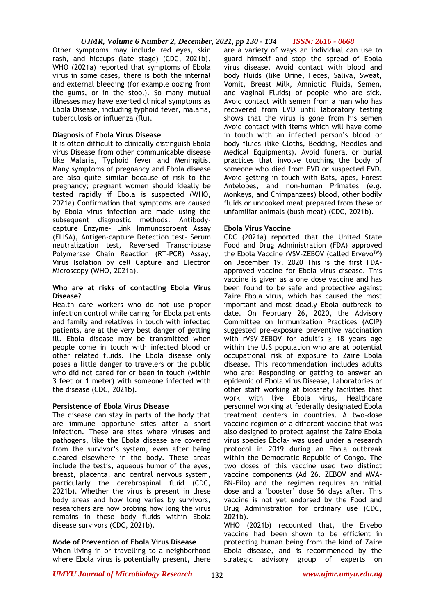Other symptoms may include red eyes, skin rash, and hiccups (late stage) (CDC, 2021b). WHO (2021a) reported that symptoms of Ebola virus in some cases, there is both the internal and external bleeding (for example oozing from the gums, or in the stool). So many mutual illnesses may have exerted clinical symptoms as Ebola Disease, including typhoid fever, malaria, tuberculosis or influenza (flu).

#### **Diagnosis of Ebola Virus Disease**

It is often difficult to clinically distinguish Ebola virus Disease from other communicable disease like Malaria, Typhoid fever and Meningitis. Many symptoms of pregnancy and Ebola disease are also quite similar because of risk to the pregnancy; pregnant women should ideally be tested rapidly if Ebola is suspected (WHO, 2021a) Confirmation that symptoms are caused by Ebola virus infection are made using the subsequent diagnostic methods: Antibodycapture Enzyme- Link Immunosorbent Assay (ELISA), Antigen-capture Detection test- Serum neutralization test, Reversed Transcriptase Polymerase Chain Reaction (RT-PCR) Assay, Virus Isolation by cell Capture and Electron Microscopy (WHO, 2021a).

#### **Who are at risks of contacting Ebola Virus Disease?**

Health care workers who do not use proper infection control while caring for Ebola patients and family and relatives in touch with infected patients, are at the very best danger of getting ill. Ebola disease may be transmitted when people come in touch with infected blood or other related fluids. The Ebola disease only poses a little danger to travelers or the public who did not cared for or been in touch (within 3 feet or 1 meter) with someone infected with the disease (CDC, 2021b).

## **Persistence of Ebola Virus Disease**

The disease can stay in parts of the body that are immune opportune sites after a short infection. These are sites where viruses and pathogens, like the Ebola disease are covered from the survivor's system, even after being cleared elsewhere in the body. These areas include the testis, aqueous humor of the eyes, breast, placenta, and central nervous system, particularly the cerebrospinal fluid (CDC, 2021b). Whether the virus is present in these body areas and how long varies by survivors, researchers are now probing how long the virus remains in these body fluids within Ebola disease survivors (CDC, 2021b).

## **Mode of Prevention of Ebola Virus Disease**

When living in or travelling to a neighborhood where Ebola virus is potentially present, there are a variety of ways an individual can use to guard himself and stop the spread of Ebola virus disease. Avoid contact with blood and body fluids (like Urine, Feces, Saliva, Sweat, Vomit, Breast Milk, Amniotic Fluids, Semen, and Vaginal Fluids) of people who are sick. Avoid contact with semen from a man who has recovered from EVD until laboratory testing shows that the virus is gone from his semen Avoid contact with items which will have come in touch with an infected person's blood or body fluids (like Cloths, Bedding, Needles and Medical Equipments). Avoid funeral or burial practices that involve touching the body of someone who died from EVD or suspected EVD. Avoid getting in touch with Bats, apes, Forest Antelopes, and non-human Primates (e.g. Monkeys, and Chimpanzees) blood, other bodily fluids or uncooked meat prepared from these or unfamiliar animals (bush meat) (CDC, 2021b).

## **Ebola Virus Vaccine**

CDC (2021a) reported that the United State Food and Drug Administration (FDA) approved the Ebola Vaccine rVSV-ZEBOV (called Ervevo<sup>TM</sup>) on December 19, 2020 This is the first FDAapproved vaccine for Ebola virus disease. This vaccine is given as a one dose vaccine and has been found to be safe and protective against Zaire Ebola virus, which has caused the most important and most deadly Ebola outbreak to date. On February 26, 2020, the Advisory Committee on Immunization Practices (ACIP) suggested pre-exposure preventive vaccination with rVSV-ZEBOV for adult's  $\geq$  18 years age within the U.S population who are at potential occupational risk of exposure to Zaire Ebola disease. This recommendation includes adults who are: Responding or getting to answer an epidemic of Ebola virus Disease, Laboratories or other staff working at biosafety facilities that work with live Ebola virus, Healthcare personnel working at federally designated Ebola treatment centers in countries. A two-dose vaccine regimen of a different vaccine that was also designed to protect against the Zaire Ebola virus species Ebola- was used under a research protocol in 2019 during an Ebola outbreak within the Democratic Republic of Congo. The two doses of this vaccine used two distinct vaccine components (Ad 26. ZEBOV and MVA-BN-Filo) and the regimen requires an initial dose and a 'booster' dose 56 days after. This vaccine is not yet endorsed by the Food and Drug Administration for ordinary use (CDC, 2021b).

WHO (2021b) recounted that, the Ervebo vaccine had been shown to be efficient in protecting human being from the kind of Zaire Ebola disease, and is recommended by the strategic advisory group of experts on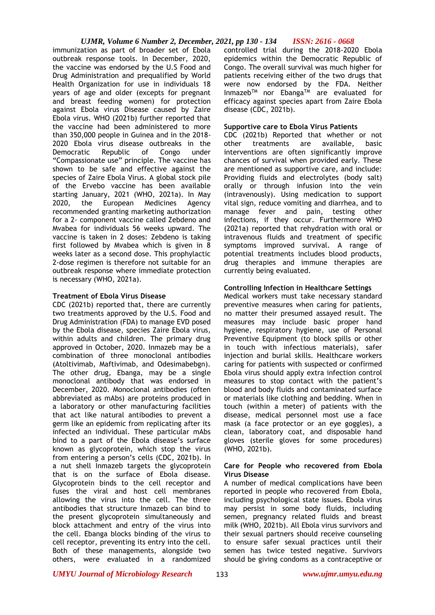# *UJMR, Volume 6 Number 2, December, 2021, pp 130 - 134 ISSN: 2616 - 0668*

immunization as part of broader set of Ebola outbreak response tools. In December, 2020, the vaccine was endorsed by the U.S Food and Drug Administration and prequalified by World Health Organization for use in individuals 18 years of age and older (excepts for pregnant and breast feeding women) for protection against Ebola virus Disease caused by Zaire Ebola virus. WHO (2021b) further reported that the vaccine had been administered to more than 350,000 people in Guinea and in the 2018- 2020 Ebola virus disease outbreaks in the Democratic Republic of Congo under "Compassionate use" principle. The vaccine has shown to be safe and effective against the species of Zaire Ebola Virus. A global stock pile of the Ervebo vaccine has been available starting January, 2021 (WHO, 2021a). In May 2020, the European Medicines Agency recommended granting marketing authorization for a 2- component vaccine called Zebdeno and Mvabea for individuals 56 weeks upward. The vaccine is taken in 2 doses: Zebdeno is taking first followed by Mvabea which is given in 8 weeks later as a second dose. This prophylactic 2-dose regimen is therefore not suitable for an outbreak response where immediate protection is necessary (WHO, 2021a).

## **Treatment of Ebola Virus Disease**

CDC (2021b) reported that, there are currently two treatments approved by the U.S. Food and Drug Administration (FDA) to manage EVD posed by the Ebola disease, species Zaire Ebola virus, within adults and children. The primary drug approved in October, 2020. Inmazeb may be a combination of three monoclonal antibodies (Atoltivimab, Maftivimab, and Odesimabebgn). The other drug, Ebanga, may be a single monoclonal antibody that was endorsed in December, 2020. Monoclonal antibodies (often abbreviated as mAbs) are proteins produced in a laboratory or other manufacturing facilities that act like natural antibodies to prevent a germ like an epidemic from replicating after its infected an individual. These particular mAbs bind to a part of the Ebola disease's surface known as glycoprotein, which stop the virus from entering a person's cells (CDC, 2021b). In a nut shell Inmazeb targets the glycoprotein that is on the surface of Ebola disease. Glycoprotein binds to the cell receptor and fuses the viral and host cell membranes allowing the virus into the cell. The three antibodies that structure Inmazeb can bind to the present glycoprotein simultaneously and block attachment and entry of the virus into the cell. Ebanga blocks binding of the virus to cell receptor, preventing its entry into the cell. Both of these managements, alongside two others, were evaluated in a randomized

controlled trial during the 2018-2020 Ebola epidemics within the Democratic Republic of Congo. The overall survival was much higher for patients receiving either of the two drugs that were now endorsed by the FDA. Neither Inmazeb<sup>TM</sup> nor Ebanga<sup>TM</sup> are evaluated for efficacy against species apart from Zaire Ebola disease (CDC, 2021b).

# **Supportive care to Ebola Virus Patients**

CDC (2021b) Reported that whether or not other treatments are available, basic interventions are often significantly improve chances of survival when provided early. These are mentioned as supportive care, and include: Providing fluids and electrolytes (body salt) orally or through infusion into the vein (intravenously). Using medication to support vital sign, reduce vomiting and diarrhea, and to manage fever and pain, testing other infections, if they occur. Furthermore WHO (2021a) reported that rehydration with oral or intravenous fluids and treatment of specific symptoms improved survival. A range of potential treatments includes blood products, drug therapies and immune therapies are currently being evaluated.

# **Controlling Infection in Healthcare Settings**

Medical workers must take necessary standard preventive measures when caring for patients, no matter their presumed assayed result. The measures may include basic proper hand hygiene, respiratory hygiene, use of Personal Preventive Equipment (to block spills or other in touch with infectious materials), safer injection and burial skills. Healthcare workers caring for patients with suspected or confirmed Ebola virus should apply extra infection control measures to stop contact with the patient's blood and body fluids and contaminated surface or materials like clothing and bedding. When in touch (within a meter) of patients with the disease, medical personnel most use a face mask (a face protector or an eye goggles), a clean, laboratory coat, and disposable hand gloves (sterile gloves for some procedures) (WHO, 2021b).

## **Care for People who recovered from Ebola Virus Disease**

A number of medical complications have been reported in people who recovered from Ebola, including psychological state issues. Ebola virus may persist in some body fluids, including semen, pregnancy related fluids and breast milk (WHO, 2021b). All Ebola virus survivors and their sexual partners should receive counseling to ensure safer sexual practices until their semen has twice tested negative. Survivors should be giving condoms as a contraceptive or

*UMYU Journal of Microbiology Research www.ujmr.umyu.edu.ng*